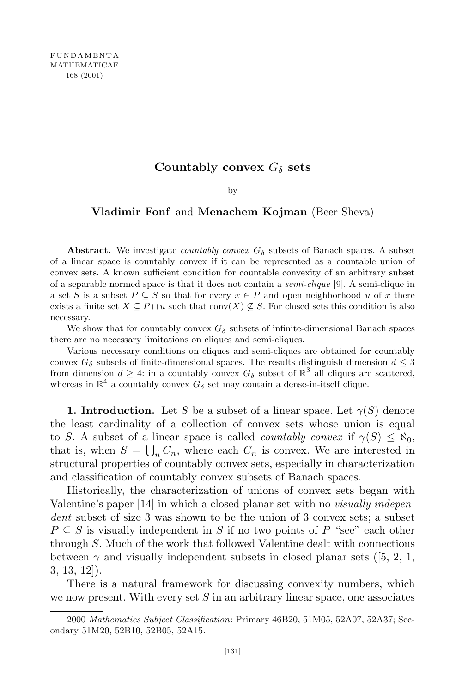## **Countably convex**  $G_{\delta}$  **sets**

by

## **Vladimir Fonf** and **Menachem Kojman** (Beer Sheva)

**Abstract.** We investigate *countably convex*  $G_{\delta}$  subsets of Banach spaces. A subset of a linear space is countably convex if it can be represented as a countable union of convex sets. A known sufficient condition for countable convexity of an arbitrary subset of a separable normed space is that it does not contain a *semi-clique* [9]. A semi-clique in a set *S* is a subset  $P \subseteq S$  so that for every  $x \in P$  and open neighborhood *u* of *x* there exists a finite set  $X \subseteq P \cap u$  such that conv $(X) \nsubseteq S$ . For closed sets this condition is also necessary.

We show that for countably convex  $G_{\delta}$  subsets of infinite-dimensional Banach spaces there are no necessary limitations on cliques and semi-cliques.

Various necessary conditions on cliques and semi-cliques are obtained for countably convex  $G_{\delta}$  subsets of finite-dimensional spaces. The results distinguish dimension  $d \leq 3$ from dimension  $d \geq 4$ : in a countably convex  $G_{\delta}$  subset of  $\mathbb{R}^{3}$  all cliques are scattered, whereas in  $\mathbb{R}^4$  a countably convex  $G_{\delta}$  set may contain a dense-in-itself clique.

**1. Introduction.** Let *S* be a subset of a linear space. Let  $\gamma(S)$  denote the least cardinality of a collection of convex sets whose union is equal to *S*. A subset of a linear space is called *countably convex* if  $\gamma(S) \leq \aleph_0$ , that is, when  $S = \bigcup_n C_n$ , where each  $C_n$  is convex. We are interested in structural properties of countably convex sets, especially in characterization and classification of countably convex subsets of Banach spaces.

Historically, the characterization of unions of convex sets began with Valentine's paper [14] in which a closed planar set with no *visually independent* subset of size 3 was shown to be the union of 3 convex sets; a subset  $P \subseteq S$  is visually independent in *S* if no two points of *P* "see" each other through *S*. Much of the work that followed Valentine dealt with connections between  $\gamma$  and visually independent subsets in closed planar sets ([5, 2, 1, 3, 13, 12]).

There is a natural framework for discussing convexity numbers, which we now present. With every set *S* in an arbitrary linear space, one associates

<sup>2000</sup> *Mathematics Subject Classification*: Primary 46B20, 51M05, 52A07, 52A37; Secondary 51M20, 52B10, 52B05, 52A15.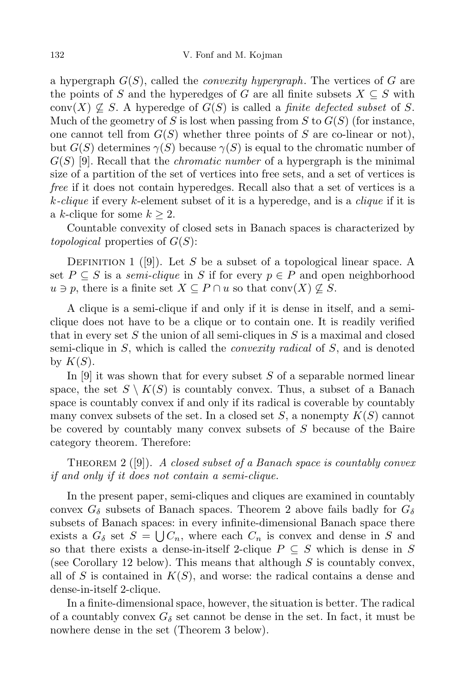a hypergraph *G*(*S*), called the *convexity hypergraph*. The vertices of *G* are the points of *S* and the hyperedges of *G* are all finite subsets  $X \subseteq S$  with conv $(X) \nsubseteq S$ . A hyperedge of  $G(S)$  is called a *finite defected subset* of *S*. Much of the geometry of *S* is lost when passing from *S* to  $G(S)$  (for instance, one cannot tell from  $G(S)$  whether three points of  $S$  are co-linear or not), but  $G(S)$  determines  $\gamma(S)$  because  $\gamma(S)$  is equal to the chromatic number of *G*(*S*) [9]. Recall that the *chromatic number* of a hypergraph is the minimal size of a partition of the set of vertices into free sets, and a set of vertices is *free* if it does not contain hyperedges. Recall also that a set of vertices is a *k-clique* if every *k*-element subset of it is a hyperedge, and is a *clique* if it is a *k*-clique for some  $k \geq 2$ .

Countable convexity of closed sets in Banach spaces is characterized by *topological* properties of *G*(*S*):

DEFINITION 1 ( $[9]$ ). Let *S* be a subset of a topological linear space. A set  $P \subseteq S$  is a *semi-clique* in S if for every  $p \in P$  and open neighborhood  $u \ni p$ , there is a finite set  $X \subseteq P \cap u$  so that conv $(X) \nsubseteq S$ .

A clique is a semi-clique if and only if it is dense in itself, and a semiclique does not have to be a clique or to contain one. It is readily verified that in every set *S* the union of all semi-cliques in *S* is a maximal and closed semi-clique in *S*, which is called the *convexity radical* of *S*, and is denoted by  $K(S)$ .

In [9] it was shown that for every subset *S* of a separable normed linear space, the set  $S \setminus K(S)$  is countably convex. Thus, a subset of a Banach space is countably convex if and only if its radical is coverable by countably many convex subsets of the set. In a closed set *S*, a nonempty *K*(*S*) cannot be covered by countably many convex subsets of *S* because of the Baire category theorem. Therefore:

Theorem 2 ([9]). *A closed subset of a Banach space is countably convex if and only if it does not contain a semi-clique.*

In the present paper, semi-cliques and cliques are examined in countably convex  $G_{\delta}$  subsets of Banach spaces. Theorem 2 above fails badly for  $G_{\delta}$ subsets of Banach spaces: in every infinite-dimensional Banach space there exists a  $G_{\delta}$  set  $S = \bigcup C_n$ , where each  $C_n$  is convex and dense in *S* and so that there exists a dense-in-itself 2-clique  $P \subseteq S$  which is dense in  $S$ (see Corollary 12 below). This means that although *S* is countably convex, all of *S* is contained in  $K(S)$ , and worse: the radical contains a dense and dense-in-itself 2-clique.

In a finite-dimensional space, however, the situation is better. The radical of a countably convex  $G_{\delta}$  set cannot be dense in the set. In fact, it must be nowhere dense in the set (Theorem 3 below).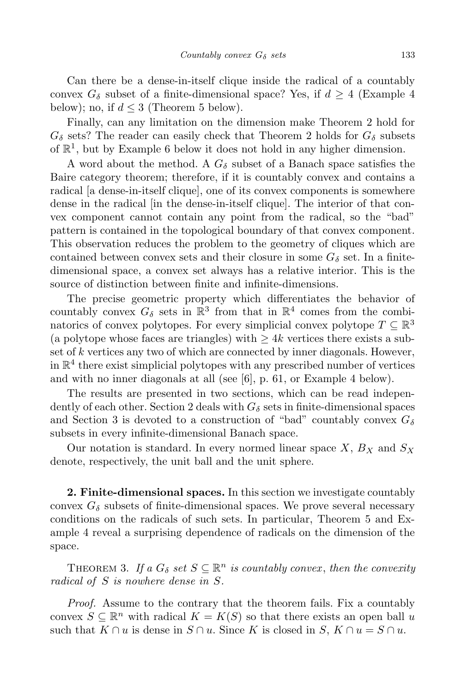Can there be a dense-in-itself clique inside the radical of a countably convex  $G_{\delta}$  subset of a finite-dimensional space? Yes, if  $d \geq 4$  (Example 4) below); no, if  $d \leq 3$  (Theorem 5 below).

Finally, can any limitation on the dimension make Theorem 2 hold for  $G_{\delta}$  sets? The reader can easily check that Theorem 2 holds for  $G_{\delta}$  subsets of  $\mathbb{R}^1$ , but by Example 6 below it does not hold in any higher dimension.

A word about the method. A  $G_{\delta}$  subset of a Banach space satisfies the Baire category theorem; therefore, if it is countably convex and contains a radical [a dense-in-itself clique], one of its convex components is somewhere dense in the radical [in the dense-in-itself clique]. The interior of that convex component cannot contain any point from the radical, so the "bad" pattern is contained in the topological boundary of that convex component. This observation reduces the problem to the geometry of cliques which are contained between convex sets and their closure in some  $G_{\delta}$  set. In a finitedimensional space, a convex set always has a relative interior. This is the source of distinction between finite and infinite-dimensions.

The precise geometric property which differentiates the behavior of countably convex  $G_{\delta}$  sets in  $\mathbb{R}^{3}$  from that in  $\mathbb{R}^{4}$  comes from the combinatorics of convex polytopes. For every simplicial convex polytope  $T \subseteq \mathbb{R}^3$ (a polytope whose faces are triangles) with  $\geq 4k$  vertices there exists a subset of *k* vertices any two of which are connected by inner diagonals. However, in  $\mathbb{R}^4$  there exist simplicial polytopes with any prescribed number of vertices and with no inner diagonals at all (see [6], p. 61, or Example 4 below).

The results are presented in two sections, which can be read independently of each other. Section 2 deals with  $G_{\delta}$  sets in finite-dimensional spaces and Section 3 is devoted to a construction of "bad" countably convex  $G_{\delta}$ subsets in every infinite-dimensional Banach space.

Our notation is standard. In every normed linear space *X*, *B<sup>X</sup>* and *S<sup>X</sup>* denote, respectively, the unit ball and the unit sphere.

**2. Finite-dimensional spaces.** In this section we investigate countably convex  $G_{\delta}$  subsets of finite-dimensional spaces. We prove several necessary conditions on the radicals of such sets. In particular, Theorem 5 and Example 4 reveal a surprising dependence of radicals on the dimension of the space.

THEOREM 3. If a  $G_{\delta}$  set  $S \subseteq \mathbb{R}^{n}$  is countably convex, then the convexity *radical of S is nowhere dense in S.*

*Proof.* Assume to the contrary that the theorem fails. Fix a countably convex  $S \subseteq \mathbb{R}^n$  with radical  $K = K(S)$  so that there exists an open ball *u* such that  $K \cap u$  is dense in  $S \cap u$ . Since K is closed in  $S, K \cap u = S \cap u$ .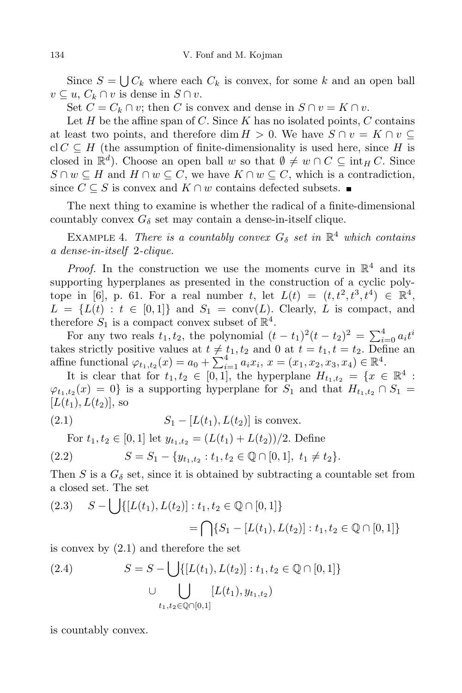Since  $S = \bigcup C_k$  where each  $C_k$  is convex, for some  $k$  and an open ball  $v \subseteq u$ ,  $C_k \cap v$  is dense in  $S \cap v$ .

Set  $C = C_k \cap v$ ; then *C* is convex and dense in  $S \cap v = K \cap v$ .

Let  $H$  be the affine span of  $C$ . Since  $K$  has no isolated points,  $C$  contains at least two points, and therefore dim  $H > 0$ . We have  $S \cap v = K \cap v \subseteq$  $cl C \subseteq H$  (the assumption of finite-dimensionality is used here, since *H* is closed in  $\mathbb{R}^d$ ). Choose an open ball *w* so that  $\emptyset \neq w \cap C \subseteq \text{int}_H C$ . Since *S* ∩ *w*  $\subseteq$  *H* and *H* ∩ *w*  $\subseteq$  *C*, we have *K* ∩ *w*  $\subseteq$  *C*, which is a contradiction, since  $C \subseteq S$  is convex and  $K \cap w$  contains defected subsets.

The next thing to examine is whether the radical of a finite-dimensional countably convex  $G_{\delta}$  set may contain a dense-in-itself clique.

EXAMPLE 4. *There is a countably convex*  $G_{\delta}$  *set in*  $\mathbb{R}^{4}$  *which contains a dense-in-itself* 2*-clique.*

*Proof.* In the construction we use the moments curve in  $\mathbb{R}^4$  and its supporting hyperplanes as presented in the construction of a cyclic polytope in [6], p. 61. For a real number *t*, let  $L(t) = (t, t^2, t^3, t^4) \in \mathbb{R}^4$ ,  $L = \{L(t) : t \in [0,1]\}$  and  $S_1 = \text{conv}(L)$ . Clearly, *L* is compact, and therefore  $S_1$  is a compact convex subset of  $\mathbb{R}^4$ .

For any two reals  $t_1, t_2$ , the polynomial  $(t - t_1)^2(t - t_2)^2 = \sum_{i=0}^{4} a_i t^i$ takes strictly positive values at  $t \neq t_1, t_2$  and 0 at  $t = t_1, t = t_2$ . Define an  $\text{affine functional } \varphi_{t_1,t_2}(x) = a_0 + \sum_{i=1}^4 a_i x_i, x = (x_1, x_2, x_3, x_4) \in \mathbb{R}^4.$ 

It is clear that for  $t_1, t_2 \in [0, 1]$ , the hyperplane  $H_{t_1, t_2} = \{x \in \mathbb{R}^4 :$  $\varphi_{t_1,t_2}(x) = 0$  is a supporting hyperplane for *S*<sub>1</sub> and that  $H_{t_1,t_2} \cap S_1 =$  $[L(t_1), L(t_2)]$ , so

(2.1) 
$$
S_1 - [L(t_1), L(t_2)] \text{ is convex.}
$$

For  $t_1, t_2 \in [0, 1]$  let  $y_{t_1, t_2} = (L(t_1) + L(t_2))/2$ . Define

$$
(2.2) \t S = S_1 - \{y_{t_1, t_2} : t_1, t_2 \in \mathbb{Q} \cap [0, 1], t_1 \neq t_2\}.
$$

Then *S* is a  $G_{\delta}$  set, since it is obtained by subtracting a countable set from a closed set. The set

$$
(2.3) \quad S - \bigcup \{ [L(t_1), L(t_2)] : t_1, t_2 \in \mathbb{Q} \cap [0, 1] \}
$$

$$
= \bigcap \{ S_1 - [L(t_1), L(t_2)] : t_1, t_2 \in \mathbb{Q} \cap [0, 1] \}
$$

is convex by (2.1) and therefore the set

(2.4) 
$$
S = S - \bigcup \{ [L(t_1), L(t_2)] : t_1, t_2 \in \mathbb{Q} \cap [0, 1] \} \cup \bigcup_{t_1, t_2 \in \mathbb{Q} \cap [0, 1]} [L(t_1), y_{t_1, t_2})
$$

is countably convex.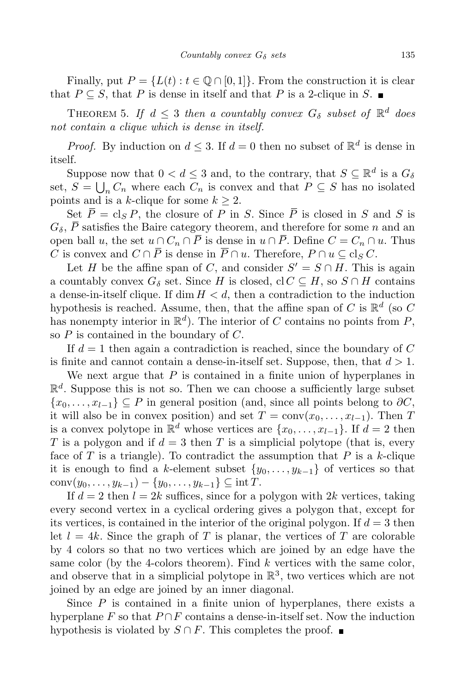Finally, put  $P = \{L(t) : t \in \mathbb{Q} \cap [0,1]\}$ . From the construction it is clear that  $P \subseteq S$ , that  $P$  is dense in itself and that  $P$  is a 2-clique in  $S$ .

THEOREM 5. If  $d \leq 3$  then a countably convex  $G_{\delta}$  subset of  $\mathbb{R}^{d}$  does *not contain a clique which is dense in itself.*

*Proof.* By induction on  $d \leq 3$ . If  $d = 0$  then no subset of  $\mathbb{R}^d$  is dense in itself.

Suppose now that  $0 < d \leq 3$  and, to the contrary, that  $S \subseteq \mathbb{R}^d$  is a  $G_\delta$ set,  $S = \bigcup_n C_n$  where each  $C_n$  is convex and that  $P \subseteq S$  has no isolated points and is a *k*-clique for some  $k \geq 2$ .

Set  $\overline{P} = \text{cl}_S P$ , the closure of P in *S*. Since  $\overline{P}$  is closed in *S* and *S* is  $G_{\delta}$ ,  $\overline{P}$  satisfies the Baire category theorem, and therefore for some *n* and an open ball *u*, the set  $u \cap C_n \cap \overline{P}$  is dense in  $u \cap \overline{P}$ . Define  $C = C_n \cap u$ . Thus *C* is convex and  $C ∩ \overline{P}$  is dense in  $\overline{P} ∩ u$ . Therefore,  $P ∩ u ⊂ c \cdot l_S C$ .

Let *H* be the affine span of *C*, and consider  $S' = S \cap H$ . This is again a countably convex  $G_{\delta}$  set. Since *H* is closed, cl  $C \subseteq H$ , so  $S \cap H$  contains a dense-in-itself clique. If  $\dim H < d$ , then a contradiction to the induction hypothesis is reached. Assume, then, that the affine span of  $C$  is  $\mathbb{R}^d$  (so  $C$ has nonempty interior in  $\mathbb{R}^d$ ). The interior of *C* contains no points from *P*, so *P* is contained in the boundary of *C*.

If *d* = 1 then again a contradiction is reached, since the boundary of *C* is finite and cannot contain a dense-in-itself set. Suppose, then, that *d >* 1.

We next argue that *P* is contained in a finite union of hyperplanes in  $\mathbb{R}^d$ . Suppose this is not so. Then we can choose a sufficiently large subset  ${x_0, \ldots, x_{l-1}} \subseteq P$  in general position (and, since all points belong to  $\partial C$ , it will also be in convex position) and set  $T = \text{conv}(x_0, \ldots, x_{l-1})$ . Then *T* is a convex polytope in  $\mathbb{R}^d$  whose vertices are  $\{x_0, \ldots, x_{l-1}\}$ . If  $d = 2$  then *T* is a polygon and if  $d = 3$  then *T* is a simplicial polytope (that is, every face of  $T$  is a triangle). To contradict the assumption that  $P$  is a  $k$ -clique it is enough to find a *k*-element subset  $\{y_0, \ldots, y_{k-1}\}\$  of vertices so that  $conv(y_0, \ldots, y_{k-1}) - \{y_0, \ldots, y_{k-1}\} \subseteq \text{int } T.$ 

If  $d = 2$  then  $l = 2k$  suffices, since for a polygon with  $2k$  vertices, taking every second vertex in a cyclical ordering gives a polygon that, except for its vertices, is contained in the interior of the original polygon. If  $d = 3$  then let  $l = 4k$ . Since the graph of *T* is planar, the vertices of *T* are colorable by 4 colors so that no two vertices which are joined by an edge have the same color (by the 4-colors theorem). Find *k* vertices with the same color, and observe that in a simplicial polytope in  $\mathbb{R}^3$ , two vertices which are not joined by an edge are joined by an inner diagonal.

Since *P* is contained in a finite union of hyperplanes, there exists a hyperplane  $F$  so that  $P \cap F$  contains a dense-in-itself set. Now the induction hypothesis is violated by  $S \cap F$ . This completes the proof.  $\blacksquare$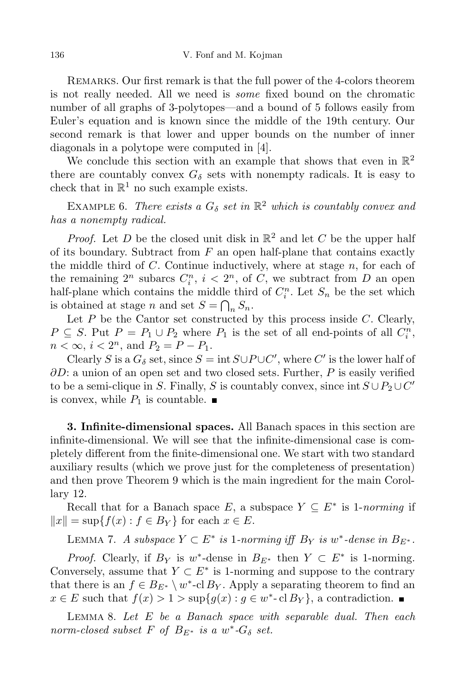Remarks. Our first remark is that the full power of the 4-colors theorem is not really needed. All we need is *some* fixed bound on the chromatic number of all graphs of 3-polytopes—and a bound of 5 follows easily from Euler's equation and is known since the middle of the 19th century. Our second remark is that lower and upper bounds on the number of inner diagonals in a polytope were computed in [4].

We conclude this section with an example that shows that even in  $\mathbb{R}^2$ there are countably convex  $G_{\delta}$  sets with nonempty radicals. It is easy to check that in  $\mathbb{R}^1$  no such example exists.

EXAMPLE 6. *There exists* a  $G_{\delta}$  *set* in  $\mathbb{R}^2$  *which is countably convex and has a nonempty radical.*

*Proof.* Let *D* be the closed unit disk in  $\mathbb{R}^2$  and let *C* be the upper half of its boundary. Subtract from *F* an open half-plane that contains exactly the middle third of *C*. Continue inductively, where at stage *n*, for each of the remaining  $2^n$  subarcs  $C_i^n$ ,  $i < 2^n$ , of *C*, we subtract from *D* an open half-plane which contains the middle third of  $C_i^n$ . Let  $S_n$  be the set which is obtained at stage *n* and set  $S = \bigcap_n S_n$ .

Let *P* be the Cantor set constructed by this process inside *C*. Clearly,  $P \subseteq S$ . Put  $P = P_1 \cup P_2$  where  $P_1$  is the set of all end-points of all  $C_i^n$ ,  $n < \infty$ ,  $i < 2^n$ , and  $P_2 = P - P_1$ .

Clearly *S* is a  $G_{\delta}$  set, since  $S = \text{int } S \cup P \cup C'$ , where  $C'$  is the lower half of *∂D*: a union of an open set and two closed sets. Further, *P* is easily verified to be a semi-clique in *S*. Finally, *S* is countably convex, since  $\text{int } S \cup P_2 \cup C'$ is convex, while  $P_1$  is countable.

**3. Infinite-dimensional spaces.** All Banach spaces in this section are infinite-dimensional. We will see that the infinite-dimensional case is completely different from the finite-dimensional one. We start with two standard auxiliary results (which we prove just for the completeness of presentation) and then prove Theorem 9 which is the main ingredient for the main Corollary 12.

Recall that for a Banach space  $E$ , a subspace  $Y \subseteq E^*$  is 1-*norming* if  $\|x\| = \sup\{f(x) : f \in B_Y\}$  for each  $x \in E$ .

LEMMA 7. *A* subspace  $Y \subset E^*$  is 1-norming iff  $B_Y$  is  $w^*$ -dense in  $B_{E^*}$ .

*Proof.* Clearly, if  $B_Y$  is *w*<sup>\*</sup>-dense in  $B_{E^*}$  then  $Y \subset E^*$  is 1-norming. Conversely, assume that  $Y \subset E^*$  is 1-norming and suppose to the contrary that there is an  $f \in B_{E^*} \setminus w^*$ -cl  $B_Y$ . Apply a separating theorem to find an  $x \in E$  such that  $f(x) > 1 > \sup\{g(x) : g \in w^* \text{-}\text{cl } B_Y\}$ , a contradiction.

Lemma 8. *Let E be a Banach space with separable dual. Then each norm-closed subset*  $F$  *of*  $B_{E^*}$  *is a*  $w^*$ - $G_{\delta}$  *set.*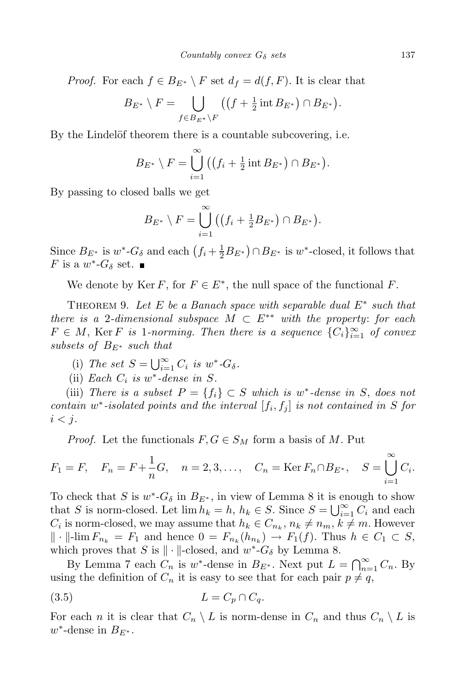*Proof.* For each  $f \in B_{E^*} \setminus F$  set  $d_f = d(f, F)$ . It is clear that

$$
B_{E^*} \setminus F = \bigcup_{f \in B_{E^*} \setminus F} \left( \left( f + \frac{1}{2} \operatorname{int} B_{E^*} \right) \cap B_{E^*} \right).
$$

By the Lindelöf theorem there is a countable subcovering, i.e.

$$
B_{E^*} \setminus F = \bigcup_{i=1}^{\infty} ((f_i + \frac{1}{2} \operatorname{int} B_{E^*}) \cap B_{E^*}).
$$

By passing to closed balls we get

$$
B_{E^*} \setminus F = \bigcup_{i=1}^{\infty} ((f_i + \frac{1}{2}B_{E^*}) \cap B_{E^*}).
$$

Since  $B_{E^*}$  is  $w^*$ - $G_{\delta}$  and each  $(f_i + \frac{1}{2}B_{E^*}) \cap B_{E^*}$  is  $w^*$ -closed, it follows that *F* is a  $w^*$ - $G_\delta$  set.

We denote by Ker  $F$ , for  $F \in E^*$ , the null space of the functional  $F$ .

Theorem 9. *Let E be a Banach space with separable dual E<sup>∗</sup> such that there is a* 2*-dimensional subspace*  $M \subset E^{**}$  *with the property: for each*  $F \in M$ , Ker *F is* 1*-norming. Then there is a sequence*  ${C_i}_{i=1}^{\infty}$  *of convex subsets of BE<sup>∗</sup> such that*

- (i) The set  $S = \bigcup_{i=1}^{\infty} C_i$  is  $w^*$ - $G_{\delta}$ .
- (ii) *Each*  $C_i$  *is*  $w^*$ -dense *in*  $S$ *.*

(iii) *There is a subset*  $P = \{f_i\} \subset S$  *which is*  $w^*$ -dense *in S*, does not  $i$  *contain*  $w^*$ -*isolated points* and the *interval*  $[f_i, f_j]$  *is* not contained in *S for*  $i < j$ .

*Proof.* Let the functionals  $F, G \in S_M$  form a basis of M. Put

$$
F_1 = F
$$
,  $F_n = F + \frac{1}{n}G$ ,  $n = 2, 3, ..., C_n = \text{Ker } F_n \cap B_{E^*}$ ,  $S = \bigcup_{i=1}^{\infty} C_i$ .

To check that *S* is  $w^*$ - $G_\delta$  in  $B_{E^*}$ , in view of Lemma 8 it is enough to show that *S* is norm-closed. Let  $\lim h_k = h$ ,  $h_k \in S$ . Since  $S = \bigcup_{i=1}^{\infty} C_i$  and each  $C_i$  is norm-closed, we may assume that  $h_k \in C_{n_k}, n_k \neq n_m, k \neq m$ . However  $\| \cdot \|$ -lim  $F_{n_k} = F_1$  and hence  $0 = F_{n_k}(h_{n_k}) \to F_1(f)$ . Thus  $h \in C_1 \subset S$ , which proves that *S* is  $\Vert \cdot \Vert$ -closed, and  $w^*$ - $G_\delta$  by Lemma 8.

By Lemma 7 each  $C_n$  is  $w^*$ -dense in  $B_{E^*}$ . Next put  $L = \bigcap_{n=1}^{\infty} C_n$ . By using the definition of  $C_n$  it is easy to see that for each pair  $p \neq q$ ,

$$
(3.5) \t\t L = C_p \cap C_q.
$$

For each *n* it is clear that  $C_n \setminus L$  is norm-dense in  $C_n$  and thus  $C_n \setminus L$  is  $w^*$ -dense in  $B_{E^*}$ .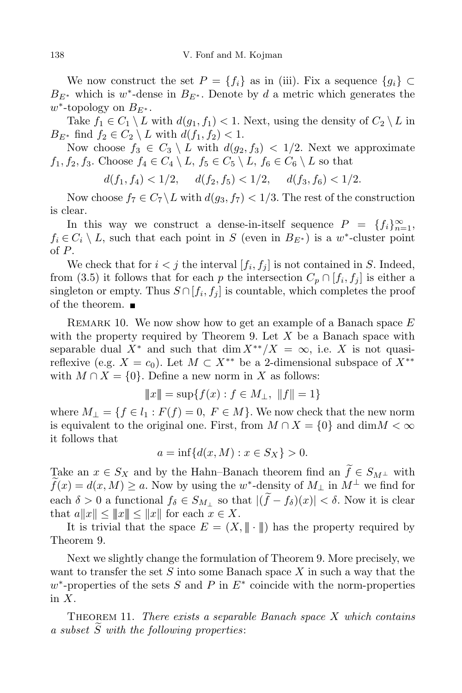We now construct the set  $P = \{f_i\}$  as in (iii). Fix a sequence  $\{g_i\} \subset$  $B_{E^*}$  which is *w*<sup>\*</sup>-dense in  $B_{E^*}$ . Denote by *d* a metric which generates the *w ∗* -topology on *BE<sup>∗</sup>* .

Take  $f_1 \in C_1 \setminus L$  with  $d(g_1, f_1) < 1$ . Next, using the density of  $C_2 \setminus L$  in *B*<sub>*E*<sup>\*</sup></sup> find  $f_2 \in C_2 \setminus L$  with  $d(f_1, f_2) < 1$ .</sub>

Now choose  $f_3 \in C_3 \setminus L$  with  $d(q_2, f_3) < 1/2$ . Next we approximate  $f_1, f_2, f_3$ . Choose  $f_4 \in C_4 \setminus L$ ,  $f_5 \in C_5 \setminus L$ ,  $f_6 \in C_6 \setminus L$  so that

 $d(f_1, f_4) < 1/2, \quad d(f_2, f_5) < 1/2, \quad d(f_3, f_6) < 1/2.$ 

Now choose  $f_7 \in C_7 \setminus L$  with  $d(g_3, f_7) < 1/3$ . The rest of the construction is clear.

In this way we construct a dense-in-itself sequence  $P = \{f_i\}_{i=1}^{\infty}$ ,  $f_i \in C_i \setminus L$ , such that each point in *S* (even in  $B_{E^*}$ ) is a *w*<sup>\*</sup>-cluster point of *P*.

We check that for  $i < j$  the interval  $[f_i, f_j]$  is not contained in *S*. Indeed, from (3.5) it follows that for each *p* the intersection  $C_p \cap [f_i, f_j]$  is either a singleton or empty. Thus  $S \cap [f_i, f_j]$  is countable, which completes the proof of the theorem.

Remark 10. We now show how to get an example of a Banach space *E* with the property required by Theorem 9. Let *X* be a Banach space with separable dual  $X^*$  and such that dim  $X^{**}/X = \infty$ , i.e. X is not quasireflexive (e.g.  $X = c_0$ ). Let  $M \subset X^{**}$  be a 2-dimensional subspace of  $X^{**}$ with  $M \cap X = \{0\}$ . Define a new norm in *X* as follows:

$$
\|x\| = \sup\{f(x) : f \in M_{\perp}, \|f\| = 1\}
$$

where  $M_{\perp} = \{f \in l_1 : F(f) = 0, F \in M\}$ . We now check that the new norm is equivalent to the original one. First, from  $M \cap X = \{0\}$  and  $\dim M < \infty$ it follows that

$$
a = \inf \{ d(x, M) : x \in S_X \} > 0.
$$

Take an  $x \in S_X$  and by the Hahn–Banach theorem find an  $\tilde{f} \in S_{M^{\perp}}$  with  $f(x) = d(x, M) \ge a$ . Now by using the *w*<sup>\*</sup>-density of  $M_{\perp}$  in  $M^{\perp}$  we find for each  $\delta > 0$  a functional  $f_{\delta} \in S_{M_{\perp}}$  so that  $|(\widetilde{f} - f_{\delta})(x)| < \delta$ . Now it is clear that  $a||x|| \leq ||x||$  for each  $x \in X$ .

It is trivial that the space  $E = (X, \|\cdot\|)$  has the property required by Theorem 9.

Next we slightly change the formulation of Theorem 9. More precisely, we want to transfer the set *S* into some Banach space *X* in such a way that the *w*<sup>∗</sup>-properties of the sets *S* and *P* in *E*<sup>∗</sup> coincide with the norm-properties in *X*.

Theorem 11. *There exists a separable Banach space X which contains a subset S*e *with the following properties*: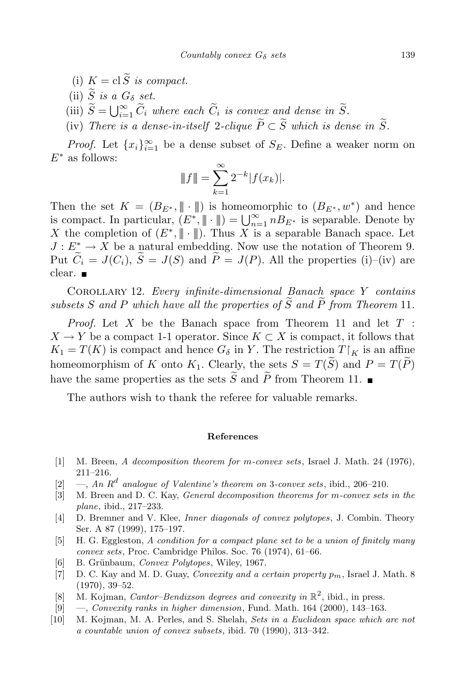- (i)  $K = \text{cl}\,\widetilde{S}$  *is compact.*
- (ii)  $\widetilde{S}$  *is a*  $G_{\delta}$  *set.*
- (iii)  $\tilde{S} = \bigcup_{i=1}^{\infty} \tilde{C}_i$  *where each*  $\tilde{C}_i$  *is convex and dense in*  $\tilde{S}$ *.*
- (iv) *There is a dense-in-itself* 2-*clique*  $\widetilde{P} \subset \widetilde{S}$  *which is dense in*  $\widetilde{S}$ *.*

*Proof.* Let  $\{x_i\}_{i=1}^{\infty}$  be a dense subset of  $S_E$ . Define a weaker norm on *E<sup>∗</sup>* as follows:

$$
||f|| = \sum_{k=1}^{\infty} 2^{-k} |f(x_k)|.
$$

Then the set  $K = (B_{E^*}, \|\cdot\|)$  is homeomorphic to  $(B_{E^*}, w^*)$  and hence is compact. In particular,  $(E^*, \| \cdot \|) = \bigcup_{n=1}^{\infty} n B_{E^*}$  is separable. Denote by *X* the completion of  $(E^*, \| \cdot \|)$ . Thus *X* is a separable Banach space. Let  $J: E^* \to X$  be a natural embedding. Now use the notation of Theorem 9. Put  $\widetilde{C}_i = J(C_i)$ ,  $\widetilde{S} = J(S)$  and  $\widetilde{P} = J(P)$ . All the properties (i)–(iv) are clear.

Corollary 12. *Every infinite-dimensional Banach space Y contains subsets S* and *P* which have all the properties of  $\widetilde{S}$  and  $\widetilde{P}$  from Theorem 11.

*Proof.* Let *X* be the Banach space from Theorem 11 and let *T* :  $X \to Y$  be a compact 1-1 operator. Since  $K \subset X$  is compact, it follows that  $K_1 = T(K)$  is compact and hence  $G_{\delta}$  in *Y*. The restriction  $T|_K$  is an affine homeomorphism of *K* onto  $K_1$ . Clearly, the sets  $S = T(\widetilde{S})$  and  $P = T(\widetilde{P})$ have the same properties as the sets  $\widetilde{S}$  and  $\widetilde{P}$  from Theorem 11.

The authors wish to thank the referee for valuable remarks.

## **References**

- [1] M. Breen, *A decomposition theorem for m-convex sets*, Israel J. Math. 24 (1976), 211–216.
- [2]  $\rightarrow$ , *An*  $R^d$  *analogue of Valentine's theorem on* 3*-convex sets*, ibid., 206–210.
- [3] M. Breen and D. C. Kay, *General decomposition theorems for m-convex sets in the plane*, ibid., 217–233.
- [4] D. Bremner and V. Klee, *Inner diagonals of convex polytopes*, J. Combin. Theory Ser. A 87 (1999), 175–197.
- [5] H. G. Eggleston, *A condition for a compact plane set to be a union of finitely many convex sets*, Proc. Cambridge Philos. Soc. 76 (1974), 61–66.
- [6] B. Grünbaum, *Convex Polytopes*, Wiley, 1967.
- [7] D. C. Kay and M. D. Guay, *Convexity and a certain property pm*, Israel J. Math. 8 (1970), 39–52.
- [8] M. Kojman, *Cantor–Bendixson degrees and convexity in* R 2 , ibid., in press.
- [9] —, *Convexity ranks in higher dimension*, Fund. Math. 164 (2000), 143–163.
- [10] M. Kojman, M. A. Perles, and S. Shelah, *Sets in a Euclidean space which are not a countable union of convex subsets*, ibid. 70 (1990), 313–342.